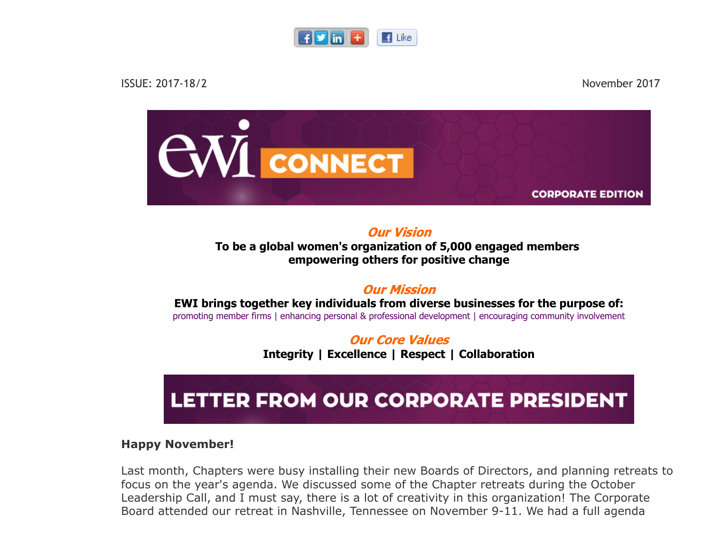



Our Vision To be a global women's organization of 5,000 engaged members empowering others for positive change

#### Our Mission

EWI brings together key individuals from diverse businesses for the purpose of: promoting member firms | enhancing personal & professional development | encouraging community involvement

> Our Core Values Integrity | Excellence | Respect | Collaboration

## LETTER FROM OUR CORPORATE PRESIDENT

#### Happy November!

Last month, Chapters were busy installing their new Boards of Directors, and planning retreats to focus on the year's agenda. We discussed some of the Chapter retreats during the October Leadership Call, and I must say, there is a lot of creativity in this organization! The Corporate Board attended our retreat in Nashville, Tennessee on November 9-11. We had a full agenda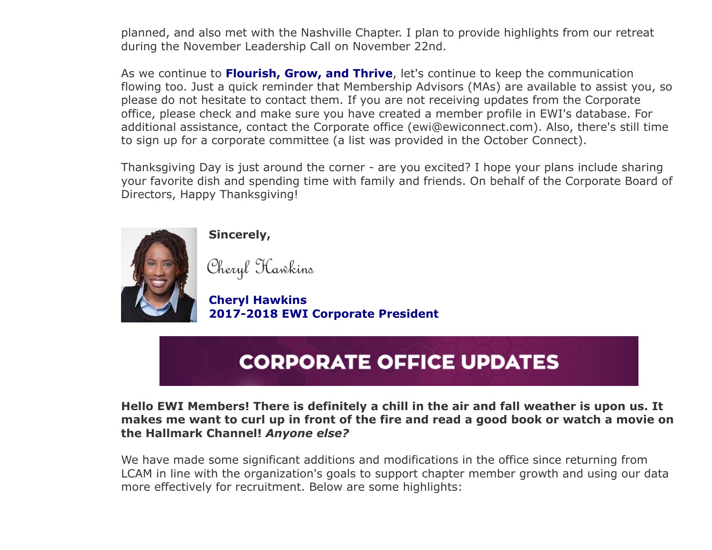planned, and also met with the Nashville Chapter. I plan to provide highlights from our retreat during the November Leadership Call on November 22nd.

As we continue to **Flourish, Grow, and Thrive**, let's continue to keep the communication flowing too. Just a quick reminder that Membership Advisors (MAs) are available to assist you, so please do not hesitate to contact them. If you are not receiving updates from the Corporate office, please check and make sure you have created a member profile in EWI's database. For additional assistance, contact the Corporate office (ewi@ewiconnect.com). Also, there's still time to sign up for a corporate committee (a list was provided in the October Connect).

Thanksgiving Day is just around the corner - are you excited? I hope your plans include sharing your favorite dish and spending time with family and friends. On behalf of the Corporate Board of Directors, Happy Thanksgiving!



Sincerely,

Cheryl Hawkins

 Cheryl Hawkins 2017-2018 EWI Corporate President

# **CORPORATE OFFICE UPDATES**

#### Hello EWI Members! There is definitely a chill in the air and fall weather is upon us. It makes me want to curl up in front of the fire and read a good book or watch a movie on the Hallmark Channel! Anyone else?

We have made some significant additions and modifications in the office since returning from LCAM in line with the organization's goals to support chapter member growth and using our data more effectively for recruitment. Below are some highlights: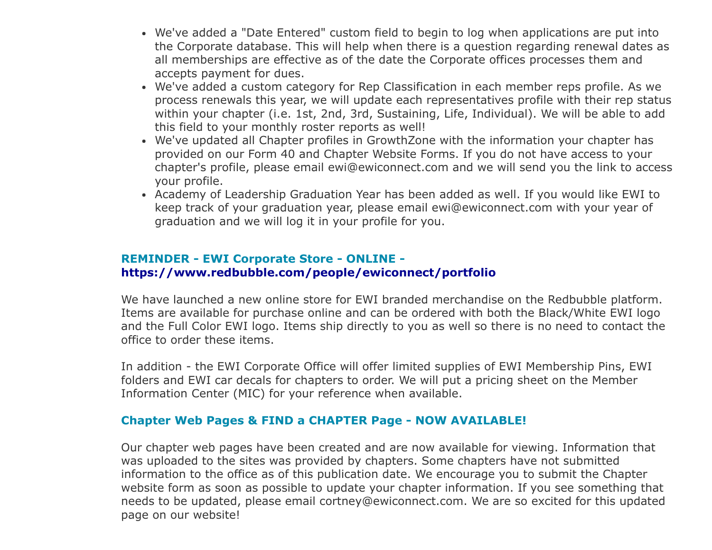- We've added a "Date Entered" custom field to begin to log when applications are put into the Corporate database. This will help when there is a question regarding renewal dates as all memberships are effective as of the date the Corporate offices processes them and accepts payment for dues.
- We've added a custom category for Rep Classification in each member reps profile. As we process renewals this year, we will update each representatives profile with their rep status within your chapter (i.e. 1st, 2nd, 3rd, Sustaining, Life, Individual). We will be able to add this field to your monthly roster reports as well!
- We've updated all Chapter profiles in GrowthZone with the information your chapter has provided on our Form 40 and Chapter Website Forms. If you do not have access to your chapter's profile, please email ewi@ewiconnect.com and we will send you the link to access your profile.
- Academy of Leadership Graduation Year has been added as well. If you would like EWI to keep track of your graduation year, please email ewi@ewiconnect.com with your year of graduation and we will log it in your profile for you.

#### REMINDER - EWI Corporate Store - ONLINE https://www.redbubble.com/people/ewiconnect/portfolio

We have launched a new online store for EWI branded merchandise on the Redbubble platform. Items are available for purchase online and can be ordered with both the Black/White EWI logo and the Full Color EWI logo. Items ship directly to you as well so there is no need to contact the office to order these items.

In addition - the EWI Corporate Office will offer limited supplies of EWI Membership Pins, EWI folders and EWI car decals for chapters to order. We will put a pricing sheet on the Member Information Center (MIC) for your reference when available.

#### Chapter Web Pages & FIND a CHAPTER Page - NOW AVAILABLE!

Our chapter web pages have been created and are now available for viewing. Information that was uploaded to the sites was provided by chapters. Some chapters have not submitted information to the office as of this publication date. We encourage you to submit the Chapter website form as soon as possible to update your chapter information. If you see something that needs to be updated, please email cortney@ewiconnect.com. We are so excited for this updated page on our website!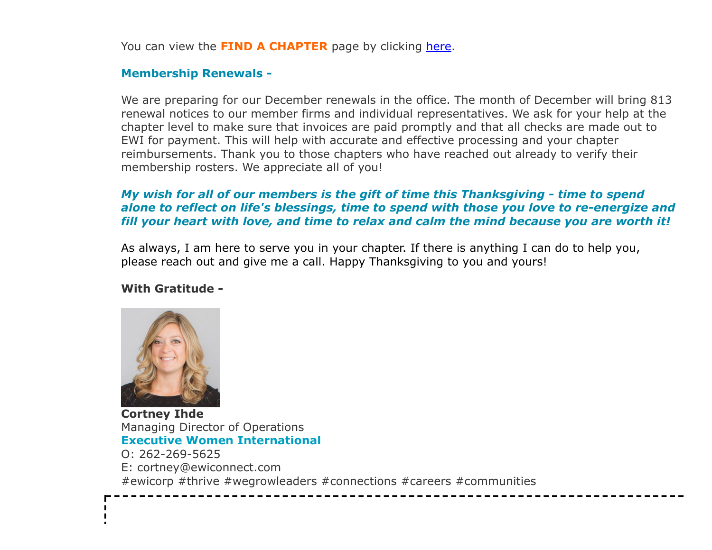You can view the FIND A CHAPTER page by clicking [here](http://ewiconnect.com/membership/find-a-chapter/).

#### Membership Renewals -

We are preparing for our December renewals in the office. The month of December will bring 813 renewal notices to our member firms and individual representatives. We ask for your help at the chapter level to make sure that invoices are paid promptly and that all checks are made out to EWI for payment. This will help with accurate and effective processing and your chapter reimbursements. Thank you to those chapters who have reached out already to verify their membership rosters. We appreciate all of you!

#### My wish for all of our members is the gift of time this Thanksgiving - time to spend alone to reflect on life's blessings, time to spend with those you love to re-energize and fill your heart with love, and time to relax and calm the mind because you are worth it!

As always, I am here to serve you in your chapter. If there is anything I can do to help you, please reach out and give me a call. Happy Thanksgiving to you and yours!

#### With Gratitude -



 $\mathbf{I}$ 

Cortney Ihde Managing Director of Operations Executive Women International O: 262-269-5625 E: cortney@ewiconnect.com #ewicorp #thrive #wegrowleaders #connections #careers #communities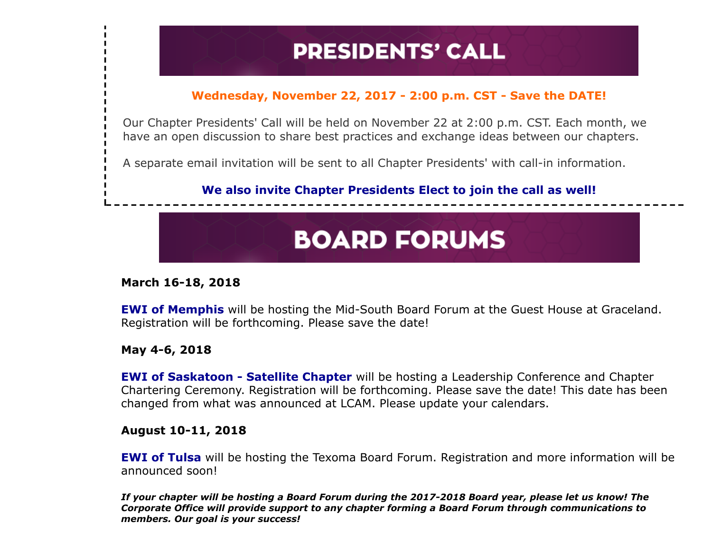## **PRESIDENTS' CALL**

#### Wednesday, November 22, 2017 - 2:00 p.m. CST - Save the DATE!

Our Chapter Presidents' Call will be held on November 22 at 2:00 p.m. CST. Each month, we have an open discussion to share best practices and exchange ideas between our chapters.

A separate email invitation will be sent to all Chapter Presidents' with call-in information.

#### We also invite Chapter Presidents Elect to join the call as well!

## **BOARD FORUMS**

#### March 16-18, 2018

EWI of Memphis will be hosting the Mid-South Board Forum at the Guest House at Graceland. Registration will be forthcoming. Please save the date!

May 4-6, 2018

**EWI of Saskatoon - Satellite Chapter** will be hosting a Leadership Conference and Chapter Chartering Ceremony. Registration will be forthcoming. Please save the date! This date has been changed from what was announced at LCAM. Please update your calendars.

#### August 10-11, 2018

**EWI of Tulsa** will be hosting the Texoma Board Forum. Registration and more information will be announced soon!

If your chapter will be hosting a Board Forum during the 2017-2018 Board year, please let us know! The Corporate Office will provide support to any chapter forming a Board Forum through communications to members. Our goal is your success!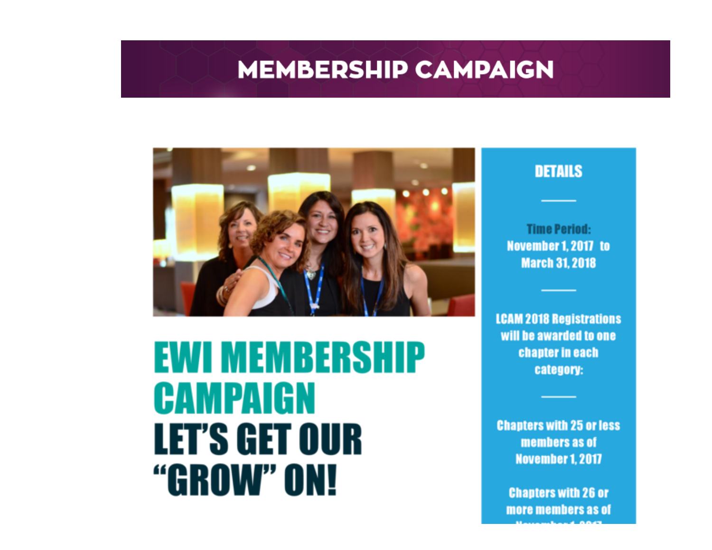### **MEMBERSHIP CAMPAIGN**



# **EWI MEMBERSHIP CAMPAIGN LET'S GET OUR** "GROW" ON!

#### **DETAILS**

**Time Period:** November 1, 2017 to **March 31, 2018** 

**LCAM 2018 Registrations** will be awarded to one chapter in each category:

**Chapters with 25 or less** members as of **November 1, 2017** 

**Chapters with 26 or** more members as of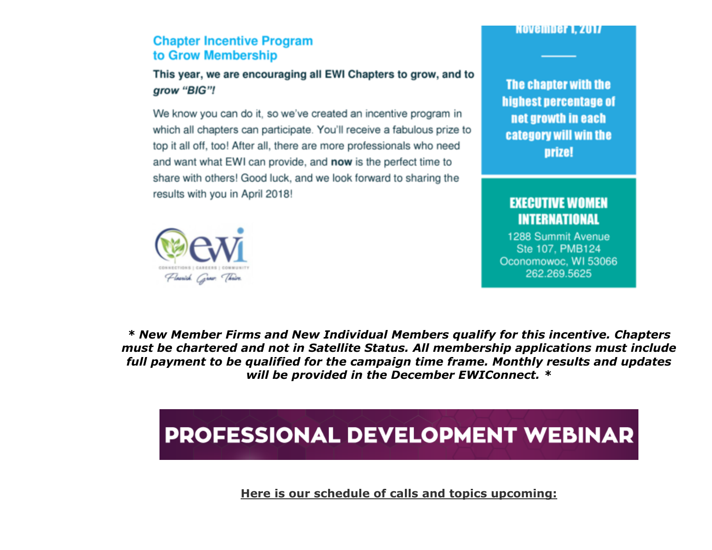#### **NOVEMBET 1. 2017**

#### **Chapter Incentive Program** to Grow Membership

#### This year, we are encouraging all EWI Chapters to grow, and to grow "BIG"!

We know you can do it, so we've created an incentive program in which all chapters can participate. You'll receive a fabulous prize to top it all off, too! After all, there are more professionals who need and want what EWI can provide, and now is the perfect time to share with others! Good luck, and we look forward to sharing the results with you in April 2018!

The chapter with the highest percentage of net growth in each category will win the **prize!** 

#### **EXECUTIVE WOMEN INTERNATIONAL**

1288 Summit Avenue Ste 107, PMB124 Oconomowoc, WI 53066 262.269.5625



\* New Member Firms and New Individual Members qualify for this incentive. Chapters must be chartered and not in Satellite Status. All membership applications must include full payment to be qualified for the campaign time frame. Monthly results and updates will be provided in the December EWIConnect. \*

## **PROFESSIONAL DEVELOPMENT WEBINAR**

Here is our schedule of calls and topics upcoming: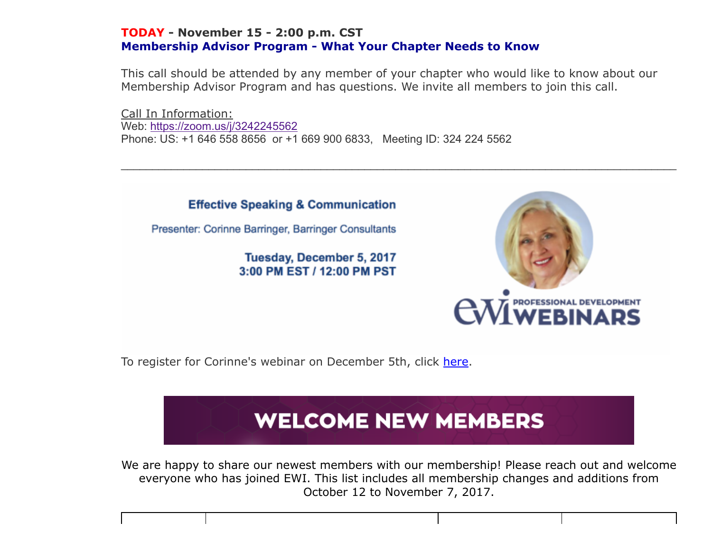#### TODAY - November 15 - 2:00 p.m. CST Membership Advisor Program - What Your Chapter Needs to Know

This call should be attended by any member of your chapter who would like to know about our Membership Advisor Program and has questions. We invite all members to join this call.

 $\_$  , and the contribution of the contribution of the contribution of the contribution of the contribution of  $\mathcal{L}_\text{max}$ 

Call In Information: Web: <https://zoom.us/j/3242245562> Phone: US: +1 646 558 8656 or +1 669 900 6833, Meeting ID: 324 224 5562



To register for Corinne's webinar on December 5th, click [here.](https://zoom.us/webinar/register/WN_jGK5J4aESPq2IFDtFnyf2w)

## **WELCOME NEW MEMBERS**

We are happy to share our newest members with our membership! Please reach out and welcome everyone who has joined EWI. This list includes all membership changes and additions from October 12 to November 7, 2017.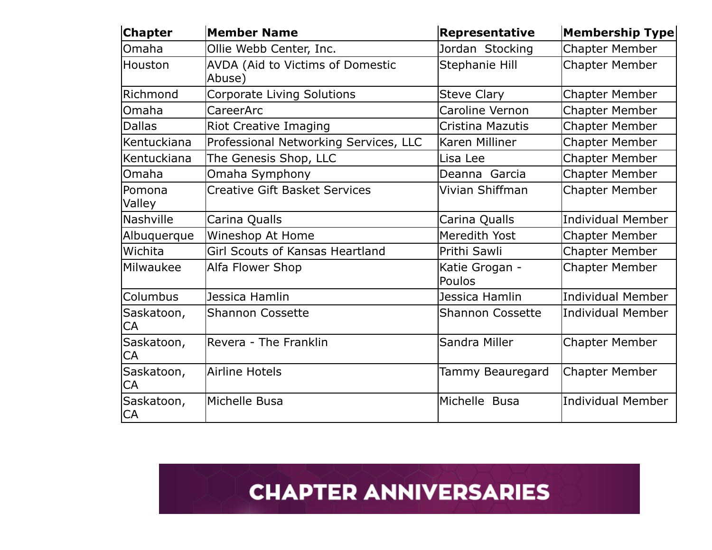| <b>Chapter</b>   | <b>Member Name</b>                         | Representative           | Membership Type          |
|------------------|--------------------------------------------|--------------------------|--------------------------|
| Omaha            | Ollie Webb Center, Inc.                    | Jordan Stocking          | <b>Chapter Member</b>    |
| Houston          | AVDA (Aid to Victims of Domestic<br>Abuse) | Stephanie Hill           | <b>Chapter Member</b>    |
| Richmond         | <b>Corporate Living Solutions</b>          | <b>Steve Clary</b>       | <b>Chapter Member</b>    |
| Omaha            | CareerArc                                  | Caroline Vernon          | <b>Chapter Member</b>    |
| <b>Dallas</b>    | <b>Riot Creative Imaging</b>               | Cristina Mazutis         | <b>Chapter Member</b>    |
| Kentuckiana      | Professional Networking Services, LLC      | Karen Milliner           | <b>Chapter Member</b>    |
| Kentuckiana      | The Genesis Shop, LLC                      | Lisa Lee                 | <b>Chapter Member</b>    |
| Omaha            | Omaha Symphony                             | Deanna Garcia            | Chapter Member           |
| Pomona<br>Valley | <b>Creative Gift Basket Services</b>       | Vivian Shiffman          | <b>Chapter Member</b>    |
| <b>Nashville</b> | Carina Qualls                              | Carina Qualls            | Individual Member        |
| Albuquerque      | Wineshop At Home                           | Meredith Yost            | <b>Chapter Member</b>    |
| Wichita          | <b>Girl Scouts of Kansas Heartland</b>     | Prithi Sawli             | <b>Chapter Member</b>    |
| Milwaukee        | Alfa Flower Shop                           | Katie Grogan -<br>Poulos | <b>Chapter Member</b>    |
| Columbus         | Jessica Hamlin                             | Jessica Hamlin           | Individual Member        |
| Saskatoon,<br>CA | <b>Shannon Cossette</b>                    | <b>Shannon Cossette</b>  | Individual Member        |
| Saskatoon,<br>CA | Revera - The Franklin                      | Sandra Miller            | <b>Chapter Member</b>    |
| Saskatoon,<br>CA | <b>Airline Hotels</b>                      | Tammy Beauregard         | <b>Chapter Member</b>    |
| Saskatoon,<br>CA | Michelle Busa                              | Michelle Busa            | <b>Individual Member</b> |

### **CHAPTER ANNIVERSARIES**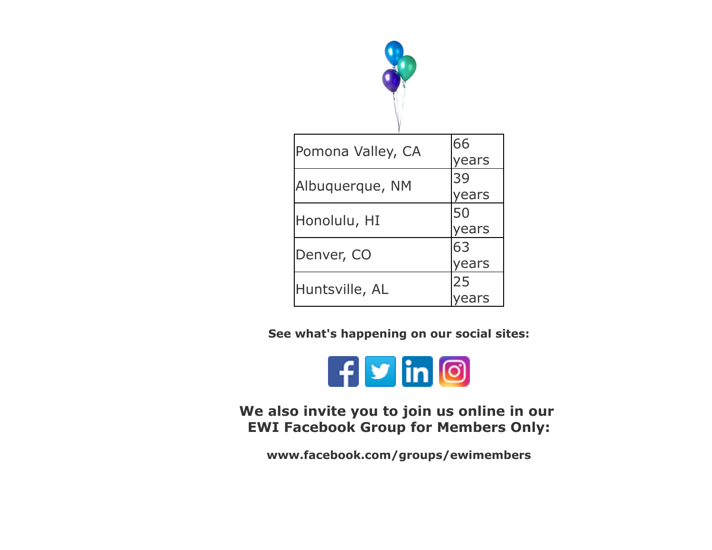

| Pomona Valley, CA | 66    |
|-------------------|-------|
|                   | ears  |
| Albuquerque, NM   | 39    |
|                   | years |
| Honolulu, HI      | 50    |
|                   | years |
| Denver, CO        | 63    |
|                   | ears  |
| Huntsville, AL    | 25    |
|                   |       |

See what's happening on our social sites:



We also invite you to join us online in our EWI Facebook Group for Members Only:

www.facebook.com/groups/ewimembers